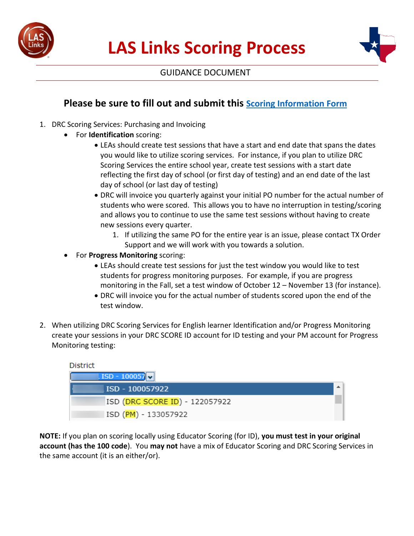



## GUIDANCE DOCUMENT

## **Please be sure to fill out and submit this [Scoring Information Form](https://protect-us.mimecast.com/s/lgueC9rPBxs9WrACowsnm?domain=docs.google.com)**

- 1. DRC Scoring Services: Purchasing and Invoicing
	- For **Identification** scoring:
		- LEAs should create test sessions that have a start and end date that spans the dates you would like to utilize scoring services. For instance, if you plan to utilize DRC Scoring Services the entire school year, create test sessions with a start date reflecting the first day of school (or first day of testing) and an end date of the last day of school (or last day of testing)
		- DRC will invoice you quarterly against your initial PO number for the actual number of students who were scored. This allows you to have no interruption in testing/scoring and allows you to continue to use the same test sessions without having to create new sessions every quarter.
			- 1. If utilizing the same PO for the entire year is an issue, please contact TX Order Support and we will work with you towards a solution.
	- For **Progress Monitoring** scoring:
		- LEAs should create test sessions for just the test window you would like to test students for progress monitoring purposes. For example, if you are progress monitoring in the Fall, set a test window of October 12 – November 13 (for instance).
		- DRC will invoice you for the actual number of students scored upon the end of the test window.
- 2. When utilizing DRC Scoring Services for English learner Identification and/or Progress Monitoring create your sessions in your DRC SCORE ID account for ID testing and your PM account for Progress Monitoring testing:

| District                       |  |
|--------------------------------|--|
| $\sqrt{15D - 100057}$          |  |
| ISD - 100057922                |  |
| ISD (DRC SCORE ID) - 122057922 |  |
| ISD (PM) - 133057922           |  |

**NOTE:** If you plan on scoring locally using Educator Scoring (for ID), **you must test in your original account (has the 100 code**). You **may not** have a mix of Educator Scoring and DRC Scoring Services in the same account (it is an either/or).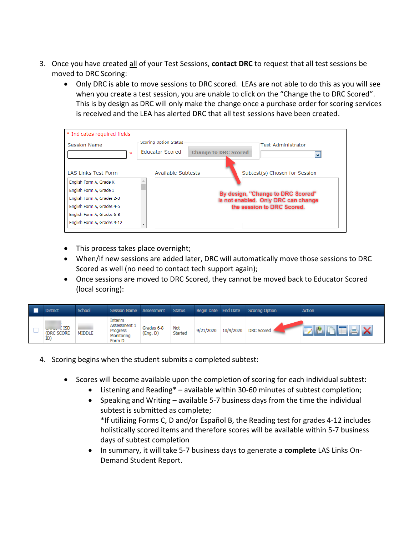- 3. Once you have created all of your Test Sessions, **contact DRC** to request that all test sessions be moved to DRC Scoring:
	- Only DRC is able to move sessions to DRC scored. LEAs are not able to do this as you will see when you create a test session, you are unable to click on the "Change the to DRC Scored". This is by design as DRC will only make the change once a purchase order for scoring services is received and the LEA has alerted DRC that all test sessions have been created.

| * Indicates required fields                                                                                                                  |                                                                                                                  |
|----------------------------------------------------------------------------------------------------------------------------------------------|------------------------------------------------------------------------------------------------------------------|
| Session Name<br>宋                                                                                                                            | Scoring Option Status<br><b>Test Administrator</b><br><b>Educator Scored</b><br><b>Change to DRC Scored</b><br>v |
| <b>LAS Links Test Form</b>                                                                                                                   | <b>Available Subtests</b><br>Subtest(s) Chosen for Session                                                       |
| English Form A, Grade K<br>English Form A, Grade 1<br>English Form A, Grades 2-3<br>English Form A, Grades 4-5<br>English Form A, Grades 6-8 | By design, "Change to DRC Scored"<br>is not enabled. Only DRC can change<br>the session to DRC Scored.           |
| English Form A, Grades 9-12                                                                                                                  |                                                                                                                  |

- This process takes place overnight;
- When/if new sessions are added later, DRC will automatically move those sessions to DRC Scored as well (no need to contact tech support again);
- Once sessions are moved to DRC Scored, they cannot be moved back to Educator Scored (local scoring):

| <b>District</b>                  | School        | <b>Session Name</b>                                         | Assessment             | <b>Status</b>         | Begin Date End Date |           | Scoring Option    | Action   |
|----------------------------------|---------------|-------------------------------------------------------------|------------------------|-----------------------|---------------------|-----------|-------------------|----------|
| <b>ISD</b><br>(DRC SCORE)<br>ID) | <b>MIDDLE</b> | Interim<br>Assessment 1<br>Progress<br>Monitoring<br>Form D | Grades 6-8<br>(Eng. D) | <b>Not</b><br>Started | 9/21/2020           | 10/9/2020 | <b>DRC</b> Scored | . II I.A |

- 4. Scoring begins when the student submits a completed subtest:
	- Scores will become available upon the completion of scoring for each individual subtest:
		- Listening and Reading\* available within 30-60 minutes of subtest completion;
		- Speaking and Writing available 5-7 business days from the time the individual subtest is submitted as complete; \*If utilizing Forms C, D and/or Español B, the Reading test for grades 4-12 includes holistically scored items and therefore scores will be available within 5-7 business days of subtest completion
		- In summary, it will take 5-7 business days to generate a **complete** LAS Links On-Demand Student Report.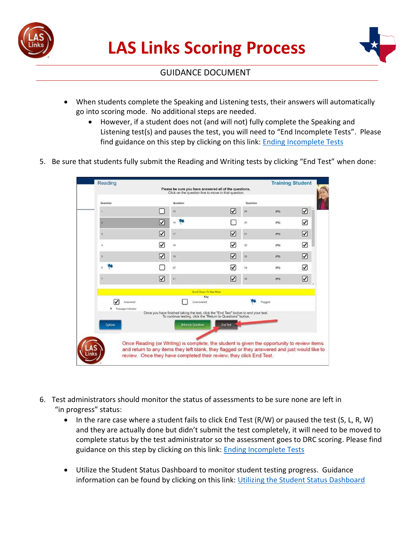



## GUIDANCE DOCUMENT

- When students complete the Speaking and Listening tests, their answers will automatically go into scoring mode. No additional steps are needed.
	- However, if a student does not (and will not) fully complete the Speaking and Listening test(s) and pauses the test, you will need to "End Incomplete Tests". Please find guidance on this step by clicking on this link: [Ending Incomplete Tests](https://urldefense.proofpoint.com/v2/url?u=https-3A__drive.google.com_file_d_1mY-5Fx9G7mFri3ttZAUygWtFt0AMLIFemG_view&d=DwMFAg&c=8zrWcxohc8EScTghaWfhULjPi_iW3pFnOBrhZAw_16M&r=UDiWpTE6yzjMF2xw5OVkh_nX1F8iN2HIwIM8Tia0DQU&m=pDkkq0Ng8om1bKAt1jk0WF2n46ZE3GWZyIO9XIpF3JE&s=RxsXbtztMGVofMgtR0dklKPSWbRG1BpqTi3-znpST9Q&e=)
- 5. Be sure that students fully submit the Reading and Writing tests by clicking "End Test" when done:

| Question            |   | Question                                                                                                                                              |                 | Question |        |   |
|---------------------|---|-------------------------------------------------------------------------------------------------------------------------------------------------------|-----------------|----------|--------|---|
|                     |   | 15                                                                                                                                                    | ☑               | 29       | (P2)   | ☑ |
|                     | ☑ | 16                                                                                                                                                    |                 | 30       | (122)  | ☑ |
|                     | ☑ | 17                                                                                                                                                    | ☑               | 31       | (P3)   | ☑ |
|                     | ⊽ | 18                                                                                                                                                    | ☑               | 32       | (P3)   | ☑ |
| 8                   | ☑ | 19                                                                                                                                                    | ☑               | 33       | ${P3}$ | ☑ |
|                     |   | 20                                                                                                                                                    | ☑               | 34       | (93)   | ☑ |
|                     | Ⅳ | $_{21}$                                                                                                                                               | ☑               | 35       | (P3)   | ☑ |
|                     |   | Scroll Down To See More                                                                                                                               |                 |          |        |   |
| Answered            |   | Key<br>Unantwered                                                                                                                                     |                 | Flagged  |        |   |
| P Passage Indicator |   | Once you have finished taking the test, click the "End Test" button to end your test.<br>To continue testing, click the "Return to Questions" button. |                 |          |        |   |
| <b>Options</b>      |   | <b>Return to Questions</b>                                                                                                                            | <b>End Test</b> |          |        |   |
|                     |   |                                                                                                                                                       |                 |          |        |   |

- 6. Test administrators should monitor the status of assessments to be sure none are left in "in progress" status:
	- In the rare case where a student fails to click End Test (R/W) or paused the test (S, L, R, W) and they are actually done but didn't submit the test completely, it will need to be moved to complete status by the test administrator so the assessment goes to DRC scoring. Please find guidance on this step by clicking on this link: **Ending Incomplete Tests**
	- Utilize the Student Status Dashboard to monitor student testing progress. Guidance information can be found by clicking on this link: Utilizing [the Student Status Dashboard](https://urldefense.proofpoint.com/v2/url?u=https-3A__drive.google.com_file_d_1SdkLs0-2DL-2D182cGgnI-5FG-2Dpx-5FfYCUt2vS5_view&d=DwMFAg&c=8zrWcxohc8EScTghaWfhULjPi_iW3pFnOBrhZAw_16M&r=UDiWpTE6yzjMF2xw5OVkh_nX1F8iN2HIwIM8Tia0DQU&m=pDkkq0Ng8om1bKAt1jk0WF2n46ZE3GWZyIO9XIpF3JE&s=Ci3SMzAr57LTcOzLrSSDOpMi7LcoEWdncH0ZskxZ6rw&e=)